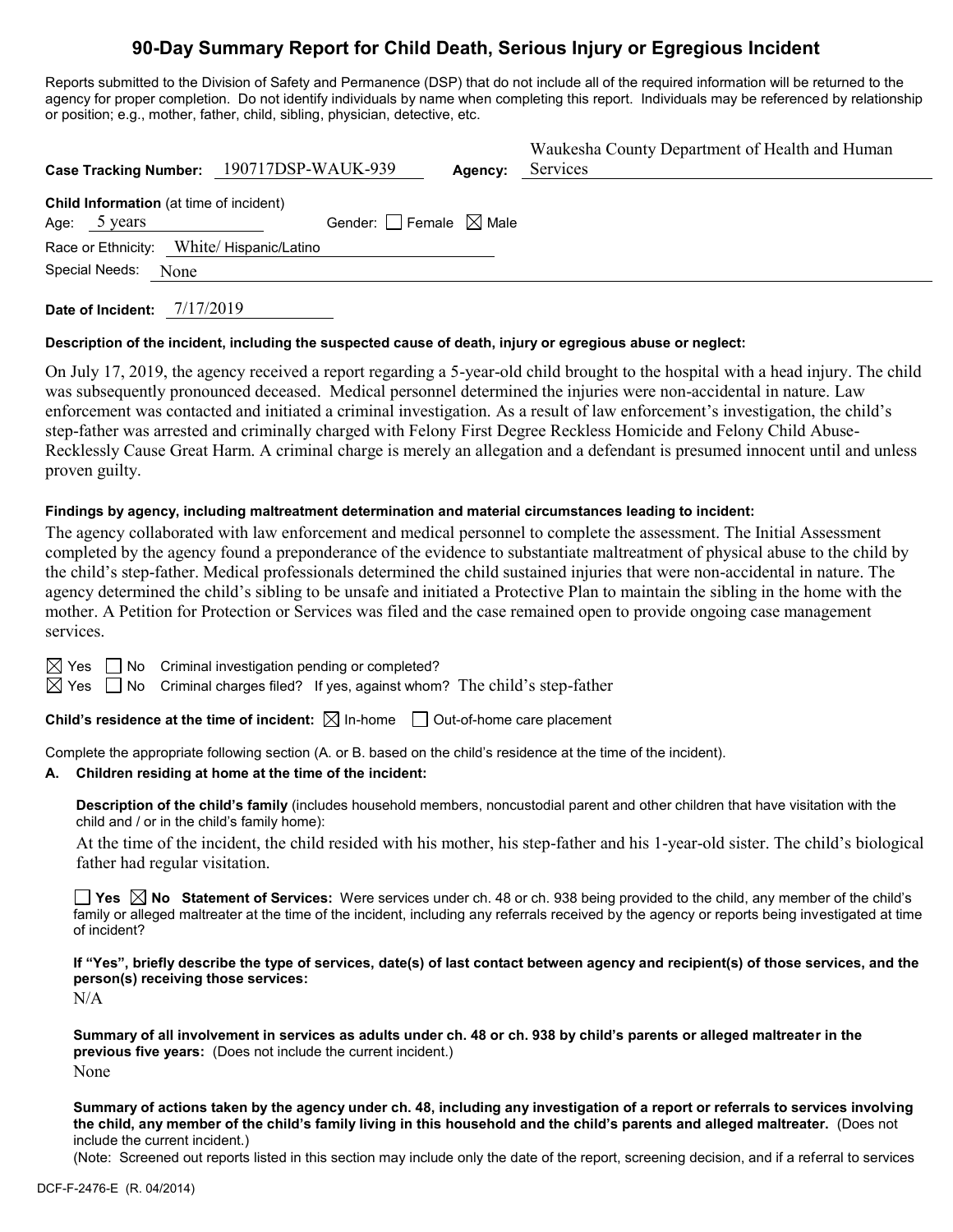# **90-Day Summary Report for Child Death, Serious Injury or Egregious Incident**

Reports submitted to the Division of Safety and Permanence (DSP) that do not include all of the required information will be returned to the agency for proper completion. Do not identify individuals by name when completing this report. Individuals may be referenced by relationship or position; e.g., mother, father, child, sibling, physician, detective, etc.

|                                                                   | Case Tracking Number: 190717DSP-WAUK-939 | Agency: | Waukesha County Department of Health and Human<br>Services |
|-------------------------------------------------------------------|------------------------------------------|---------|------------------------------------------------------------|
| <b>Child Information</b> (at time of incident)<br>5 years<br>Age: | Gender: $\Box$ Female $\boxtimes$ Male   |         |                                                            |
| Race or Ethnicity: White/ Hispanic/Latino                         |                                          |         |                                                            |
| Special Needs:<br>None                                            |                                          |         |                                                            |

**Date of Incident:** 7/17/2019

## **Description of the incident, including the suspected cause of death, injury or egregious abuse or neglect:**

On July 17, 2019, the agency received a report regarding a 5-year-old child brought to the hospital with a head injury. The child was subsequently pronounced deceased. Medical personnel determined the injuries were non-accidental in nature. Law enforcement was contacted and initiated a criminal investigation. As a result of law enforcement's investigation, the child's step-father was arrested and criminally charged with Felony First Degree Reckless Homicide and Felony Child Abuse-Recklessly Cause Great Harm. A criminal charge is merely an allegation and a defendant is presumed innocent until and unless proven guilty.

#### **Findings by agency, including maltreatment determination and material circumstances leading to incident:**

The agency collaborated with law enforcement and medical personnel to complete the assessment. The Initial Assessment completed by the agency found a preponderance of the evidence to substantiate maltreatment of physical abuse to the child by the child's step-father. Medical professionals determined the child sustained injuries that were non-accidental in nature. The agency determined the child's sibling to be unsafe and initiated a Protective Plan to maintain the sibling in the home with the mother. A Petition for Protection or Services was filed and the case remained open to provide ongoing case management services.

| $\boxtimes$ Yes $\Box$ No Criminal investigation pending or completed? |  |  |  |  |
|------------------------------------------------------------------------|--|--|--|--|
|------------------------------------------------------------------------|--|--|--|--|

 $\boxtimes$  Yes  $\Box$  No Criminal charges filed? If yes, against whom? The child's step-father

**Child's residence at the time of incident:**  $\boxtimes$  In-home  $\Box$  Out-of-home care placement

Complete the appropriate following section (A. or B. based on the child's residence at the time of the incident).

## **A. Children residing at home at the time of the incident:**

**Description of the child's family** (includes household members, noncustodial parent and other children that have visitation with the child and / or in the child's family home):

At the time of the incident, the child resided with his mother, his step-father and his 1-year-old sister. The child's biological father had regular visitation.

**Yes No Statement of Services:** Were services under ch. 48 or ch. 938 being provided to the child, any member of the child's family or alleged maltreater at the time of the incident, including any referrals received by the agency or reports being investigated at time of incident?

**If "Yes", briefly describe the type of services, date(s) of last contact between agency and recipient(s) of those services, and the person(s) receiving those services:**

 $N/A$ 

**Summary of all involvement in services as adults under ch. 48 or ch. 938 by child's parents or alleged maltreater in the previous five years:** (Does not include the current incident.) None

**Summary of actions taken by the agency under ch. 48, including any investigation of a report or referrals to services involving the child, any member of the child's family living in this household and the child's parents and alleged maltreater.** (Does not include the current incident.)

(Note: Screened out reports listed in this section may include only the date of the report, screening decision, and if a referral to services